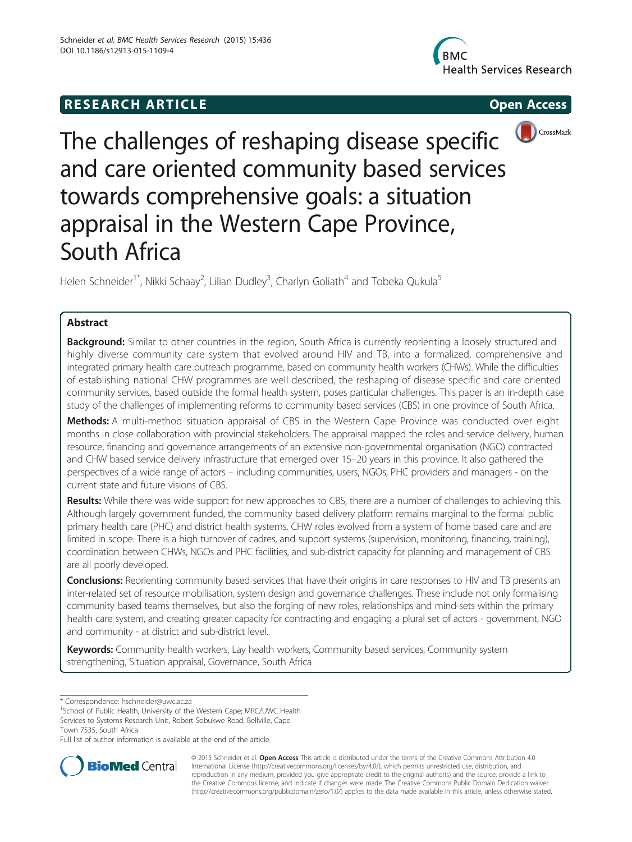# **RESEARCH ARTICLE CONSUMING A RESEARCH ARTICLE**







The challenges of reshaping disease specific and care oriented community based services towards comprehensive goals: a situation appraisal in the Western Cape Province, South Africa

Helen Schneider<sup>1\*</sup>, Nikki Schaay<sup>2</sup>, Lilian Dudley<sup>3</sup>, Charlyn Goliath<sup>4</sup> and Tobeka Qukula<sup>5</sup>

## Abstract

Background: Similar to other countries in the region, South Africa is currently reorienting a loosely structured and highly diverse community care system that evolved around HIV and TB, into a formalized, comprehensive and integrated primary health care outreach programme, based on community health workers (CHWs). While the difficulties of establishing national CHW programmes are well described, the reshaping of disease specific and care oriented community services, based outside the formal health system, poses particular challenges. This paper is an in-depth case study of the challenges of implementing reforms to community based services (CBS) in one province of South Africa.

Methods: A multi-method situation appraisal of CBS in the Western Cape Province was conducted over eight months in close collaboration with provincial stakeholders. The appraisal mapped the roles and service delivery, human resource, financing and governance arrangements of an extensive non-governmental organisation (NGO) contracted and CHW based service delivery infrastructure that emerged over 15–20 years in this province. It also gathered the perspectives of a wide range of actors – including communities, users, NGOs, PHC providers and managers - on the current state and future visions of CBS.

Results: While there was wide support for new approaches to CBS, there are a number of challenges to achieving this. Although largely government funded, the community based delivery platform remains marginal to the formal public primary health care (PHC) and district health systems. CHW roles evolved from a system of home based care and are limited in scope. There is a high turnover of cadres, and support systems (supervision, monitoring, financing, training), coordination between CHWs, NGOs and PHC facilities, and sub-district capacity for planning and management of CBS are all poorly developed.

Conclusions: Reorienting community based services that have their origins in care responses to HIV and TB presents an inter-related set of resource mobilisation, system design and governance challenges. These include not only formalising community based teams themselves, but also the forging of new roles, relationships and mind-sets within the primary health care system, and creating greater capacity for contracting and engaging a plural set of actors - government, NGO and community - at district and sub-district level.

Keywords: Community health workers, Lay health workers, Community based services, Community system strengthening, Situation appraisal, Governance, South Africa

\* Correspondence: [hschneider@uwc.ac.za](mailto:hschneider@uwc.ac.za) <sup>1</sup>

<sup>1</sup>School of Public Health, University of the Western Cape; MRC/UWC Health Services to Systems Research Unit, Robert Sobukwe Road, Bellville, Cape Town 7535, South Africa

Full list of author information is available at the end of the article



© 2015 Schneider et al. Open Access This article is distributed under the terms of the Creative Commons Attribution 4.0 International License [\(http://creativecommons.org/licenses/by/4.0/](http://creativecommons.org/licenses/by/4.0/)), which permits unrestricted use, distribution, and reproduction in any medium, provided you give appropriate credit to the original author(s) and the source, provide a link to the Creative Commons license, and indicate if changes were made. The Creative Commons Public Domain Dedication waiver [\(http://creativecommons.org/publicdomain/zero/1.0/](http://creativecommons.org/publicdomain/zero/1.0/)) applies to the data made available in this article, unless otherwise stated.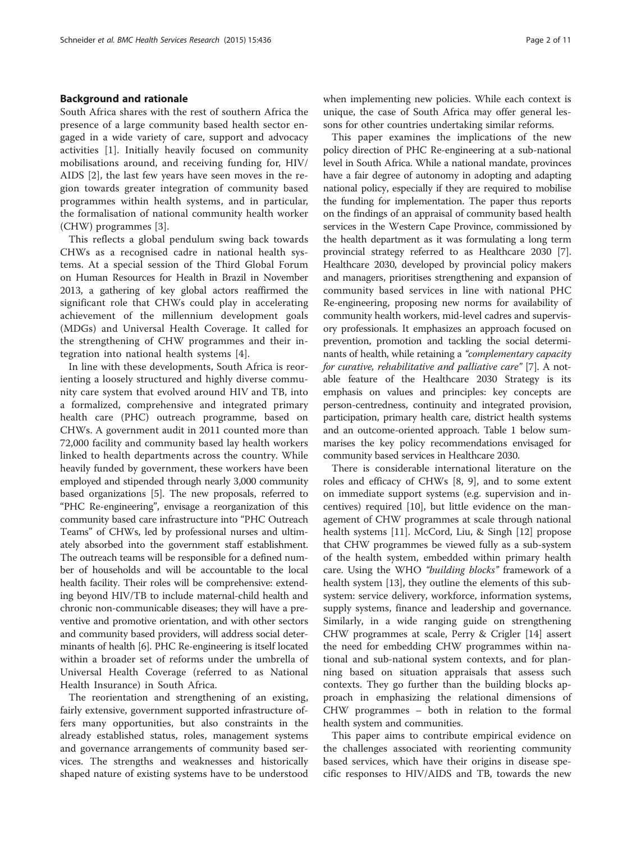#### Background and rationale

South Africa shares with the rest of southern Africa the presence of a large community based health sector engaged in a wide variety of care, support and advocacy activities [[1\]](#page-9-0). Initially heavily focused on community mobilisations around, and receiving funding for, HIV/ AIDS [\[2](#page-9-0)], the last few years have seen moves in the region towards greater integration of community based programmes within health systems, and in particular, the formalisation of national community health worker (CHW) programmes [[3](#page-9-0)].

This reflects a global pendulum swing back towards CHWs as a recognised cadre in national health systems. At a special session of the Third Global Forum on Human Resources for Health in Brazil in November 2013, a gathering of key global actors reaffirmed the significant role that CHWs could play in accelerating achievement of the millennium development goals (MDGs) and Universal Health Coverage. It called for the strengthening of CHW programmes and their integration into national health systems [[4](#page-9-0)].

In line with these developments, South Africa is reorienting a loosely structured and highly diverse community care system that evolved around HIV and TB, into a formalized, comprehensive and integrated primary health care (PHC) outreach programme, based on CHWs. A government audit in 2011 counted more than 72,000 facility and community based lay health workers linked to health departments across the country. While heavily funded by government, these workers have been employed and stipended through nearly 3,000 community based organizations [\[5](#page-9-0)]. The new proposals, referred to "PHC Re-engineering", envisage a reorganization of this community based care infrastructure into "PHC Outreach Teams" of CHWs, led by professional nurses and ultimately absorbed into the government staff establishment. The outreach teams will be responsible for a defined number of households and will be accountable to the local health facility. Their roles will be comprehensive: extending beyond HIV/TB to include maternal-child health and chronic non-communicable diseases; they will have a preventive and promotive orientation, and with other sectors and community based providers, will address social determinants of health [\[6](#page-9-0)]. PHC Re-engineering is itself located within a broader set of reforms under the umbrella of Universal Health Coverage (referred to as National Health Insurance) in South Africa.

The reorientation and strengthening of an existing, fairly extensive, government supported infrastructure offers many opportunities, but also constraints in the already established status, roles, management systems and governance arrangements of community based services. The strengths and weaknesses and historically shaped nature of existing systems have to be understood when implementing new policies. While each context is unique, the case of South Africa may offer general lessons for other countries undertaking similar reforms.

This paper examines the implications of the new policy direction of PHC Re-engineering at a sub-national level in South Africa. While a national mandate, provinces have a fair degree of autonomy in adopting and adapting national policy, especially if they are required to mobilise the funding for implementation. The paper thus reports on the findings of an appraisal of community based health services in the Western Cape Province, commissioned by the health department as it was formulating a long term provincial strategy referred to as Healthcare 2030 [[7](#page-9-0)]. Healthcare 2030, developed by provincial policy makers and managers, prioritises strengthening and expansion of community based services in line with national PHC Re-engineering, proposing new norms for availability of community health workers, mid-level cadres and supervisory professionals. It emphasizes an approach focused on prevention, promotion and tackling the social determinants of health, while retaining a "complementary capacity for curative, rehabilitative and palliative care" [\[7](#page-9-0)]. A notable feature of the Healthcare 2030 Strategy is its emphasis on values and principles: key concepts are person-centredness, continuity and integrated provision, participation, primary health care, district health systems and an outcome-oriented approach. Table [1](#page-2-0) below summarises the key policy recommendations envisaged for community based services in Healthcare 2030.

There is considerable international literature on the roles and efficacy of CHWs [[8, 9](#page-9-0)], and to some extent on immediate support systems (e.g. supervision and incentives) required [\[10](#page-9-0)], but little evidence on the management of CHW programmes at scale through national health systems [[11](#page-10-0)]. McCord, Liu, & Singh [[12](#page-10-0)] propose that CHW programmes be viewed fully as a sub-system of the health system, embedded within primary health care. Using the WHO "building blocks" framework of a health system [[13\]](#page-10-0), they outline the elements of this subsystem: service delivery, workforce, information systems, supply systems, finance and leadership and governance. Similarly, in a wide ranging guide on strengthening CHW programmes at scale, Perry & Crigler [\[14](#page-10-0)] assert the need for embedding CHW programmes within national and sub-national system contexts, and for planning based on situation appraisals that assess such contexts. They go further than the building blocks approach in emphasizing the relational dimensions of CHW programmes – both in relation to the formal health system and communities.

This paper aims to contribute empirical evidence on the challenges associated with reorienting community based services, which have their origins in disease specific responses to HIV/AIDS and TB, towards the new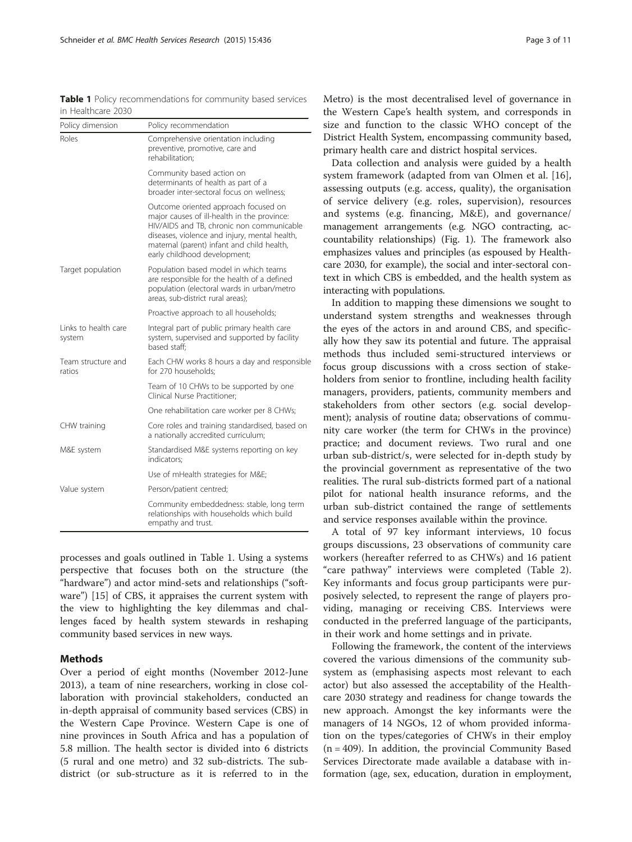<span id="page-2-0"></span>Table 1 Policy recommendations for community based services in Healthcare 2030

| Policy dimension               | Policy recommendation                                                                                                                                                                                                                                           |  |  |
|--------------------------------|-----------------------------------------------------------------------------------------------------------------------------------------------------------------------------------------------------------------------------------------------------------------|--|--|
| Roles                          | Comprehensive orientation including<br>preventive, promotive, care and<br>rehabilitation;                                                                                                                                                                       |  |  |
|                                | Community based action on<br>determinants of health as part of a<br>broader inter-sectoral focus on wellness;                                                                                                                                                   |  |  |
|                                | Outcome oriented approach focused on<br>major causes of ill-health in the province:<br>HIV/AIDS and TB, chronic non communicable<br>diseases, violence and injury, mental health,<br>maternal (parent) infant and child health,<br>early childhood development; |  |  |
| Target population              | Population based model in which teams<br>are responsible for the health of a defined<br>population (electoral wards in urban/metro<br>areas, sub-district rural areas);                                                                                         |  |  |
|                                | Proactive approach to all households;                                                                                                                                                                                                                           |  |  |
| Links to health care<br>system | Integral part of public primary health care<br>system, supervised and supported by facility<br>based staff:                                                                                                                                                     |  |  |
| Team structure and<br>ratios   | Each CHW works 8 hours a day and responsible<br>for 270 households;                                                                                                                                                                                             |  |  |
|                                | Team of 10 CHWs to be supported by one<br>Clinical Nurse Practitioner:                                                                                                                                                                                          |  |  |
|                                | One rehabilitation care worker per 8 CHWs;                                                                                                                                                                                                                      |  |  |
| CHW training                   | Core roles and training standardised, based on<br>a nationally accredited curriculum;                                                                                                                                                                           |  |  |
| M&E system                     | Standardised M&E systems reporting on key<br>indicators:                                                                                                                                                                                                        |  |  |
|                                | Use of mHealth strategies for M&E                                                                                                                                                                                                                               |  |  |
| Value system                   | Person/patient centred;                                                                                                                                                                                                                                         |  |  |
|                                | Community embeddedness: stable, long term<br>relationships with households which build<br>empathy and trust.                                                                                                                                                    |  |  |

processes and goals outlined in Table 1. Using a systems perspective that focuses both on the structure (the "hardware") and actor mind-sets and relationships ("software") [\[15](#page-10-0)] of CBS, it appraises the current system with the view to highlighting the key dilemmas and challenges faced by health system stewards in reshaping community based services in new ways.

## Methods

Over a period of eight months (November 2012-June 2013), a team of nine researchers, working in close collaboration with provincial stakeholders, conducted an in-depth appraisal of community based services (CBS) in the Western Cape Province. Western Cape is one of nine provinces in South Africa and has a population of 5.8 million. The health sector is divided into 6 districts (5 rural and one metro) and 32 sub-districts. The subdistrict (or sub-structure as it is referred to in the

Metro) is the most decentralised level of governance in the Western Cape's health system, and corresponds in size and function to the classic WHO concept of the District Health System, encompassing community based, primary health care and district hospital services.

Data collection and analysis were guided by a health system framework (adapted from van Olmen et al. [\[16](#page-10-0)], assessing outputs (e.g. access, quality), the organisation of service delivery (e.g. roles, supervision), resources and systems (e.g. financing, M&E), and governance/ management arrangements (e.g. NGO contracting, accountability relationships) (Fig. [1](#page-3-0)). The framework also emphasizes values and principles (as espoused by Healthcare 2030, for example), the social and inter-sectoral context in which CBS is embedded, and the health system as interacting with populations.

In addition to mapping these dimensions we sought to understand system strengths and weaknesses through the eyes of the actors in and around CBS, and specifically how they saw its potential and future. The appraisal methods thus included semi-structured interviews or focus group discussions with a cross section of stakeholders from senior to frontline, including health facility managers, providers, patients, community members and stakeholders from other sectors (e.g. social development); analysis of routine data; observations of community care worker (the term for CHWs in the province) practice; and document reviews. Two rural and one urban sub-district/s, were selected for in-depth study by the provincial government as representative of the two realities. The rural sub-districts formed part of a national pilot for national health insurance reforms, and the urban sub-district contained the range of settlements and service responses available within the province.

A total of 97 key informant interviews, 10 focus groups discussions, 23 observations of community care workers (hereafter referred to as CHWs) and 16 patient "care pathway" interviews were completed (Table [2](#page-3-0)). Key informants and focus group participants were purposively selected, to represent the range of players providing, managing or receiving CBS. Interviews were conducted in the preferred language of the participants, in their work and home settings and in private.

Following the framework, the content of the interviews covered the various dimensions of the community subsystem as (emphasising aspects most relevant to each actor) but also assessed the acceptability of the Healthcare 2030 strategy and readiness for change towards the new approach. Amongst the key informants were the managers of 14 NGOs, 12 of whom provided information on the types/categories of CHWs in their employ  $(n = 409)$ . In addition, the provincial Community Based Services Directorate made available a database with information (age, sex, education, duration in employment,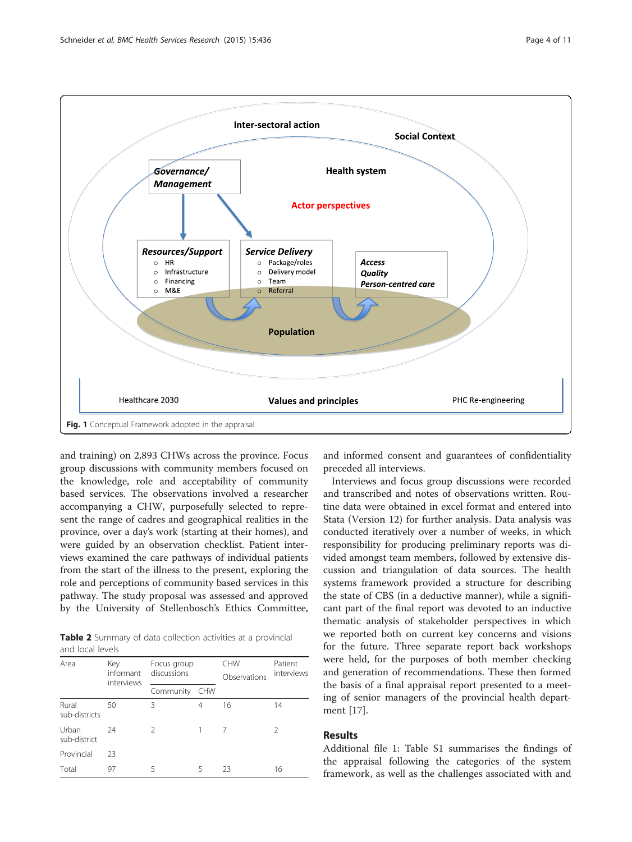

<span id="page-3-0"></span>

and training) on 2,893 CHWs across the province. Focus group discussions with community members focused on the knowledge, role and acceptability of community based services. The observations involved a researcher accompanying a CHW, purposefully selected to represent the range of cadres and geographical realities in the province, over a day's work (starting at their homes), and were guided by an observation checklist. Patient interviews examined the care pathways of individual patients from the start of the illness to the present, exploring the role and perceptions of community based services in this pathway. The study proposal was assessed and approved by the University of Stellenbosch's Ethics Committee,

Table 2 Summary of data collection activities at a provincial and local levels

| Area                   | Key<br>informant<br>interviews | Focus group<br>discussions |            | <b>CHW</b><br>Observations | Patient<br>interviews |
|------------------------|--------------------------------|----------------------------|------------|----------------------------|-----------------------|
|                        |                                | Community                  | <b>CHW</b> |                            |                       |
| Rural<br>sub-districts | 50                             | 3                          | 4          | 16                         | 14                    |
| Urban<br>sub-district  | 24                             | $\mathcal{L}$              |            | 7                          | 2                     |
| Provincial             | 23                             |                            |            |                            |                       |
| Total                  | 97                             | 5                          | 5          | 23                         | 16                    |

and informed consent and guarantees of confidentiality preceded all interviews.

Interviews and focus group discussions were recorded and transcribed and notes of observations written. Routine data were obtained in excel format and entered into Stata (Version 12) for further analysis. Data analysis was conducted iteratively over a number of weeks, in which responsibility for producing preliminary reports was divided amongst team members, followed by extensive discussion and triangulation of data sources. The health systems framework provided a structure for describing the state of CBS (in a deductive manner), while a significant part of the final report was devoted to an inductive thematic analysis of stakeholder perspectives in which we reported both on current key concerns and visions for the future. Three separate report back workshops were held, for the purposes of both member checking and generation of recommendations. These then formed the basis of a final appraisal report presented to a meeting of senior managers of the provincial health department [[17\]](#page-10-0).

## Results

Additional file [1:](#page-9-0) Table S1 summarises the findings of the appraisal following the categories of the system framework, as well as the challenges associated with and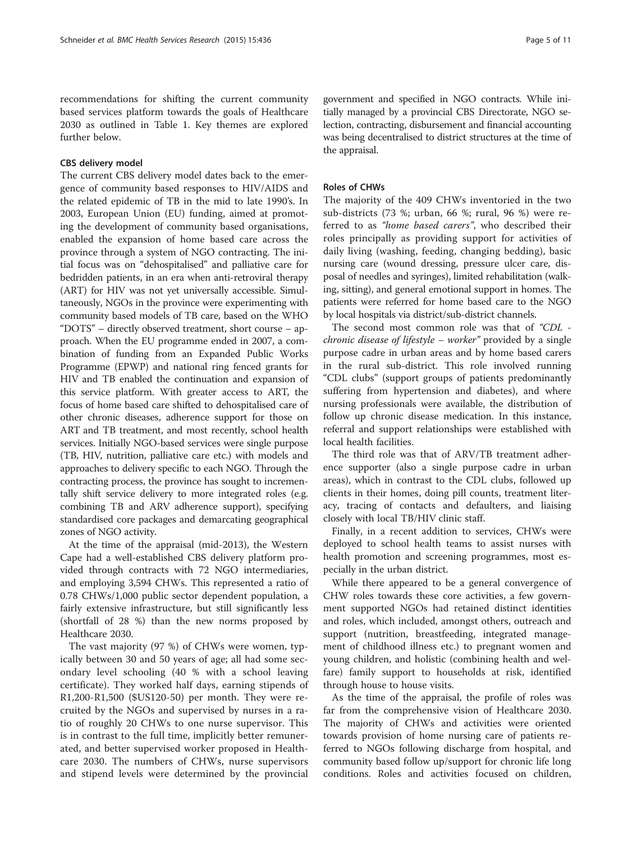recommendations for shifting the current community based services platform towards the goals of Healthcare 2030 as outlined in Table [1](#page-2-0). Key themes are explored further below.

### CBS delivery model

The current CBS delivery model dates back to the emergence of community based responses to HIV/AIDS and the related epidemic of TB in the mid to late 1990's. In 2003, European Union (EU) funding, aimed at promoting the development of community based organisations, enabled the expansion of home based care across the province through a system of NGO contracting. The initial focus was on "dehospitalised" and palliative care for bedridden patients, in an era when anti-retroviral therapy (ART) for HIV was not yet universally accessible. Simultaneously, NGOs in the province were experimenting with community based models of TB care, based on the WHO "DOTS" – directly observed treatment, short course – approach. When the EU programme ended in 2007, a combination of funding from an Expanded Public Works Programme (EPWP) and national ring fenced grants for HIV and TB enabled the continuation and expansion of this service platform. With greater access to ART, the focus of home based care shifted to dehospitalised care of other chronic diseases, adherence support for those on ART and TB treatment, and most recently, school health services. Initially NGO-based services were single purpose (TB, HIV, nutrition, palliative care etc.) with models and approaches to delivery specific to each NGO. Through the contracting process, the province has sought to incrementally shift service delivery to more integrated roles (e.g. combining TB and ARV adherence support), specifying standardised core packages and demarcating geographical zones of NGO activity.

At the time of the appraisal (mid-2013), the Western Cape had a well-established CBS delivery platform provided through contracts with 72 NGO intermediaries, and employing 3,594 CHWs. This represented a ratio of 0.78 CHWs/1,000 public sector dependent population, a fairly extensive infrastructure, but still significantly less (shortfall of 28 %) than the new norms proposed by Healthcare 2030.

The vast majority (97 %) of CHWs were women, typically between 30 and 50 years of age; all had some secondary level schooling (40 % with a school leaving certificate). They worked half days, earning stipends of R1,200-R1,500 (\$US120-50) per month. They were recruited by the NGOs and supervised by nurses in a ratio of roughly 20 CHWs to one nurse supervisor. This is in contrast to the full time, implicitly better remunerated, and better supervised worker proposed in Healthcare 2030. The numbers of CHWs, nurse supervisors and stipend levels were determined by the provincial

government and specified in NGO contracts. While initially managed by a provincial CBS Directorate, NGO selection, contracting, disbursement and financial accounting was being decentralised to district structures at the time of the appraisal.

#### Roles of CHWs

The majority of the 409 CHWs inventoried in the two sub-districts (73 %; urban, 66 %; rural, 96 %) were referred to as "home based carers", who described their roles principally as providing support for activities of daily living (washing, feeding, changing bedding), basic nursing care (wound dressing, pressure ulcer care, disposal of needles and syringes), limited rehabilitation (walking, sitting), and general emotional support in homes. The patients were referred for home based care to the NGO by local hospitals via district/sub-district channels.

The second most common role was that of "CDL chronic disease of lifestyle – worker" provided by a single purpose cadre in urban areas and by home based carers in the rural sub-district. This role involved running "CDL clubs" (support groups of patients predominantly suffering from hypertension and diabetes), and where nursing professionals were available, the distribution of follow up chronic disease medication. In this instance, referral and support relationships were established with local health facilities.

The third role was that of ARV/TB treatment adherence supporter (also a single purpose cadre in urban areas), which in contrast to the CDL clubs, followed up clients in their homes, doing pill counts, treatment literacy, tracing of contacts and defaulters, and liaising closely with local TB/HIV clinic staff.

Finally, in a recent addition to services, CHWs were deployed to school health teams to assist nurses with health promotion and screening programmes, most especially in the urban district.

While there appeared to be a general convergence of CHW roles towards these core activities, a few government supported NGOs had retained distinct identities and roles, which included, amongst others, outreach and support (nutrition, breastfeeding, integrated management of childhood illness etc.) to pregnant women and young children, and holistic (combining health and welfare) family support to households at risk, identified through house to house visits.

As the time of the appraisal, the profile of roles was far from the comprehensive vision of Healthcare 2030. The majority of CHWs and activities were oriented towards provision of home nursing care of patients referred to NGOs following discharge from hospital, and community based follow up/support for chronic life long conditions. Roles and activities focused on children,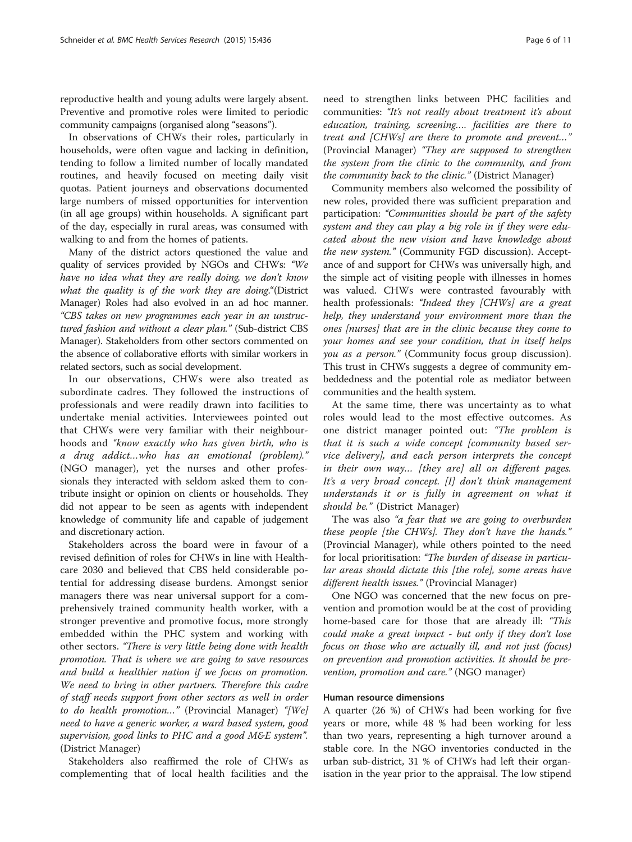reproductive health and young adults were largely absent. Preventive and promotive roles were limited to periodic community campaigns (organised along "seasons").

In observations of CHWs their roles, particularly in households, were often vague and lacking in definition, tending to follow a limited number of locally mandated routines, and heavily focused on meeting daily visit quotas. Patient journeys and observations documented large numbers of missed opportunities for intervention (in all age groups) within households. A significant part of the day, especially in rural areas, was consumed with walking to and from the homes of patients.

Many of the district actors questioned the value and quality of services provided by NGOs and CHWs: "We have no idea what they are really doing, we don't know what the quality is of the work they are doing."(District Manager) Roles had also evolved in an ad hoc manner. "CBS takes on new programmes each year in an unstructured fashion and without a clear plan." (Sub-district CBS Manager). Stakeholders from other sectors commented on the absence of collaborative efforts with similar workers in related sectors, such as social development.

In our observations, CHWs were also treated as subordinate cadres. They followed the instructions of professionals and were readily drawn into facilities to undertake menial activities. Interviewees pointed out that CHWs were very familiar with their neighbourhoods and "know exactly who has given birth, who is a drug addict…who has an emotional (problem)." (NGO manager), yet the nurses and other professionals they interacted with seldom asked them to contribute insight or opinion on clients or households. They did not appear to be seen as agents with independent knowledge of community life and capable of judgement and discretionary action.

Stakeholders across the board were in favour of a revised definition of roles for CHWs in line with Healthcare 2030 and believed that CBS held considerable potential for addressing disease burdens. Amongst senior managers there was near universal support for a comprehensively trained community health worker, with a stronger preventive and promotive focus, more strongly embedded within the PHC system and working with other sectors. "There is very little being done with health promotion. That is where we are going to save resources and build a healthier nation if we focus on promotion. We need to bring in other partners. Therefore this cadre of staff needs support from other sectors as well in order to do health promotion…" (Provincial Manager) "[We] need to have a generic worker, a ward based system, good supervision, good links to PHC and a good M&E system". (District Manager)

Stakeholders also reaffirmed the role of CHWs as complementing that of local health facilities and the need to strengthen links between PHC facilities and communities: "It's not really about treatment it's about education, training, screening…. facilities are there to treat and [CHWs] are there to promote and prevent…" (Provincial Manager) "They are supposed to strengthen the system from the clinic to the community, and from the community back to the clinic." (District Manager)

Community members also welcomed the possibility of new roles, provided there was sufficient preparation and participation: "Communities should be part of the safety system and they can play a big role in if they were educated about the new vision and have knowledge about the new system." (Community FGD discussion). Acceptance of and support for CHWs was universally high, and the simple act of visiting people with illnesses in homes was valued. CHWs were contrasted favourably with health professionals: "Indeed they [CHWs] are a great help, they understand your environment more than the ones [nurses] that are in the clinic because they come to your homes and see your condition, that in itself helps you as a person." (Community focus group discussion). This trust in CHWs suggests a degree of community embeddedness and the potential role as mediator between communities and the health system.

At the same time, there was uncertainty as to what roles would lead to the most effective outcomes. As one district manager pointed out: "The problem is that it is such a wide concept [community based service delivery], and each person interprets the concept in their own way… [they are] all on different pages. It's a very broad concept. [I] don't think management understands it or is fully in agreement on what it should be." (District Manager)

The was also "a fear that we are going to overburden these people [the CHWs]. They don't have the hands." (Provincial Manager), while others pointed to the need for local prioritisation: "The burden of disease in particular areas should dictate this [the role], some areas have different health issues." (Provincial Manager)

One NGO was concerned that the new focus on prevention and promotion would be at the cost of providing home-based care for those that are already ill: "This could make a great impact - but only if they don't lose focus on those who are actually ill, and not just (focus) on prevention and promotion activities. It should be prevention, promotion and care." (NGO manager)

### Human resource dimensions

A quarter (26 %) of CHWs had been working for five years or more, while 48 % had been working for less than two years, representing a high turnover around a stable core. In the NGO inventories conducted in the urban sub-district, 31 % of CHWs had left their organisation in the year prior to the appraisal. The low stipend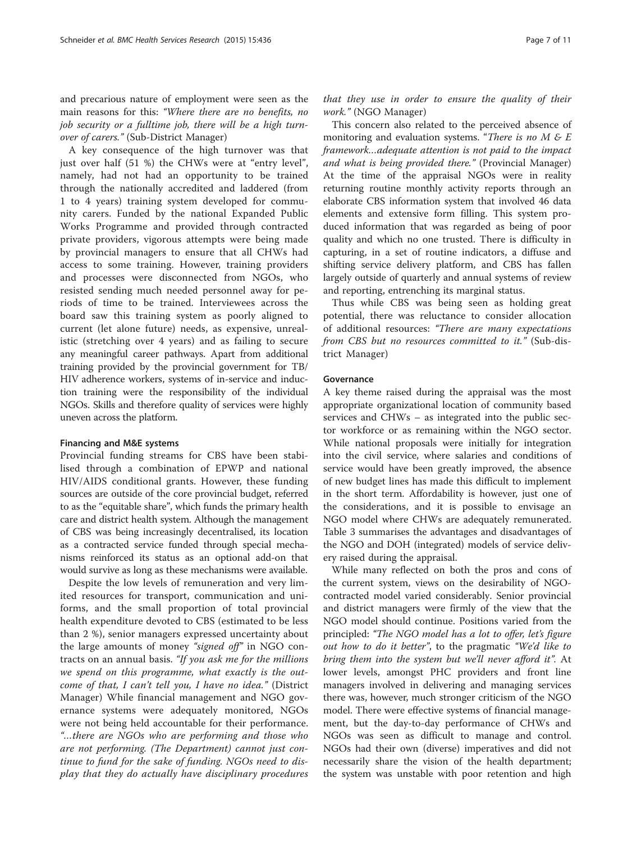and precarious nature of employment were seen as the main reasons for this: "Where there are no benefits, no job security or a fulltime job, there will be a high turnover of carers." (Sub-District Manager)

A key consequence of the high turnover was that just over half (51 %) the CHWs were at "entry level", namely, had not had an opportunity to be trained through the nationally accredited and laddered (from 1 to 4 years) training system developed for community carers. Funded by the national Expanded Public Works Programme and provided through contracted private providers, vigorous attempts were being made by provincial managers to ensure that all CHWs had access to some training. However, training providers and processes were disconnected from NGOs, who resisted sending much needed personnel away for periods of time to be trained. Interviewees across the board saw this training system as poorly aligned to current (let alone future) needs, as expensive, unrealistic (stretching over 4 years) and as failing to secure any meaningful career pathways. Apart from additional training provided by the provincial government for TB/ HIV adherence workers, systems of in-service and induction training were the responsibility of the individual NGOs. Skills and therefore quality of services were highly uneven across the platform.

### Financing and M&E systems

Provincial funding streams for CBS have been stabilised through a combination of EPWP and national HIV/AIDS conditional grants. However, these funding sources are outside of the core provincial budget, referred to as the "equitable share", which funds the primary health care and district health system. Although the management of CBS was being increasingly decentralised, its location as a contracted service funded through special mechanisms reinforced its status as an optional add-on that would survive as long as these mechanisms were available.

Despite the low levels of remuneration and very limited resources for transport, communication and uniforms, and the small proportion of total provincial health expenditure devoted to CBS (estimated to be less than 2 %), senior managers expressed uncertainty about the large amounts of money "signed off" in NGO contracts on an annual basis. "If you ask me for the millions we spend on this programme, what exactly is the outcome of that, I can't tell you, I have no idea." (District Manager) While financial management and NGO governance systems were adequately monitored, NGOs were not being held accountable for their performance. "…there are NGOs who are performing and those who are not performing. (The Department) cannot just continue to fund for the sake of funding. NGOs need to display that they do actually have disciplinary procedures that they use in order to ensure the quality of their work." (NGO Manager)

This concern also related to the perceived absence of monitoring and evaluation systems. "There is no  $M \& E$ framework…adequate attention is not paid to the impact and what is being provided there." (Provincial Manager) At the time of the appraisal NGOs were in reality returning routine monthly activity reports through an elaborate CBS information system that involved 46 data elements and extensive form filling. This system produced information that was regarded as being of poor quality and which no one trusted. There is difficulty in capturing, in a set of routine indicators, a diffuse and shifting service delivery platform, and CBS has fallen largely outside of quarterly and annual systems of review and reporting, entrenching its marginal status.

Thus while CBS was being seen as holding great potential, there was reluctance to consider allocation of additional resources: "There are many expectations from CBS but no resources committed to it." (Sub-district Manager)

#### Governance

A key theme raised during the appraisal was the most appropriate organizational location of community based services and CHWs – as integrated into the public sector workforce or as remaining within the NGO sector. While national proposals were initially for integration into the civil service, where salaries and conditions of service would have been greatly improved, the absence of new budget lines has made this difficult to implement in the short term. Affordability is however, just one of the considerations, and it is possible to envisage an NGO model where CHWs are adequately remunerated. Table [3](#page-7-0) summarises the advantages and disadvantages of the NGO and DOH (integrated) models of service delivery raised during the appraisal.

While many reflected on both the pros and cons of the current system, views on the desirability of NGOcontracted model varied considerably. Senior provincial and district managers were firmly of the view that the NGO model should continue. Positions varied from the principled: "The NGO model has a lot to offer, let's figure out how to do it better", to the pragmatic "We'd like to bring them into the system but we'll never afford it". At lower levels, amongst PHC providers and front line managers involved in delivering and managing services there was, however, much stronger criticism of the NGO model. There were effective systems of financial management, but the day-to-day performance of CHWs and NGOs was seen as difficult to manage and control. NGOs had their own (diverse) imperatives and did not necessarily share the vision of the health department; the system was unstable with poor retention and high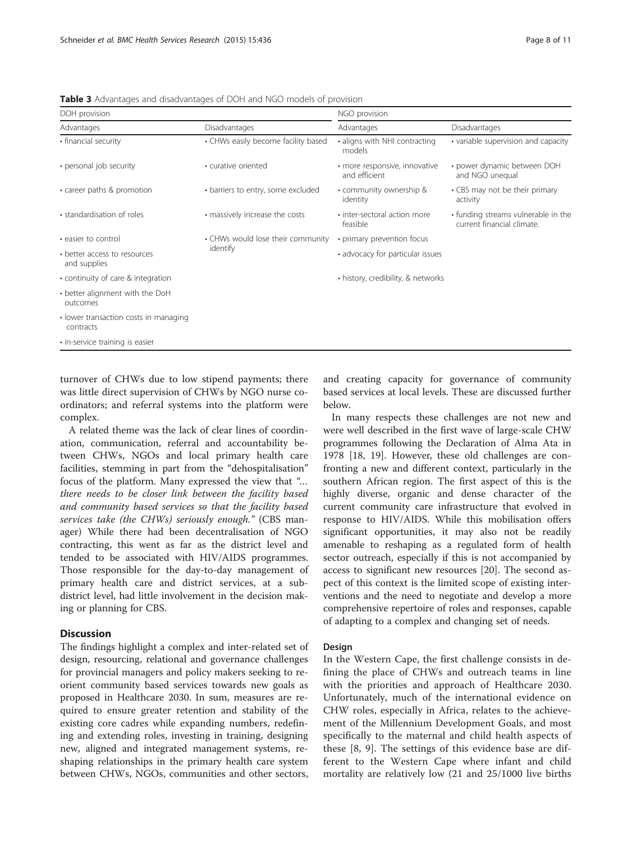<span id="page-7-0"></span>**Table 3** Advantages and disadvantages of DOH and NGO models of provision

| DOH provision                                      |                                     | NGO provision                                  |                                                                   |  |
|----------------------------------------------------|-------------------------------------|------------------------------------------------|-------------------------------------------------------------------|--|
| Advantages                                         | Disadvantages                       | Advantages                                     | Disadvantages                                                     |  |
| • financial security                               | • CHWs easily become facility based | · aligns with NHI contracting<br>models        | • variable supervision and capacity                               |  |
| • personal job security                            | • curative oriented                 | · more responsive, innovative<br>and efficient | • power dynamic between DOH<br>and NGO unequal                    |  |
| • career paths & promotion                         | • barriers to entry, some excluded  | • community ownership &<br>identity            | • CBS may not be their primary<br>activity                        |  |
| • standardisation of roles                         | • massively increase the costs      | · inter-sectoral action more<br>feasible       | • funding streams vulnerable in the<br>current financial climate. |  |
| • easier to control                                | • CHWs would lose their community   | • primary prevention focus                     |                                                                   |  |
| • better access to resources<br>and supplies       | identify                            | • advocacy for particular issues               |                                                                   |  |
| • continuity of care & integration                 |                                     | • history, credibility, & networks             |                                                                   |  |
| • better alignment with the DoH<br>outcomes        |                                     |                                                |                                                                   |  |
| • lower transaction costs in managing<br>contracts |                                     |                                                |                                                                   |  |
| · in-service training is easier                    |                                     |                                                |                                                                   |  |

turnover of CHWs due to low stipend payments; there was little direct supervision of CHWs by NGO nurse coordinators; and referral systems into the platform were complex.

A related theme was the lack of clear lines of coordination, communication, referral and accountability between CHWs, NGOs and local primary health care facilities, stemming in part from the "dehospitalisation" focus of the platform. Many expressed the view that "… there needs to be closer link between the facility based and community based services so that the facility based services take (the CHWs) seriously enough." (CBS manager) While there had been decentralisation of NGO contracting, this went as far as the district level and tended to be associated with HIV/AIDS programmes. Those responsible for the day-to-day management of primary health care and district services, at a subdistrict level, had little involvement in the decision making or planning for CBS.

## **Discussion**

The findings highlight a complex and inter-related set of design, resourcing, relational and governance challenges for provincial managers and policy makers seeking to reorient community based services towards new goals as proposed in Healthcare 2030. In sum, measures are required to ensure greater retention and stability of the existing core cadres while expanding numbers, redefining and extending roles, investing in training, designing new, aligned and integrated management systems, reshaping relationships in the primary health care system between CHWs, NGOs, communities and other sectors,

and creating capacity for governance of community based services at local levels. These are discussed further below.

In many respects these challenges are not new and were well described in the first wave of large-scale CHW programmes following the Declaration of Alma Ata in 1978 [\[18](#page-10-0), [19](#page-10-0)]. However, these old challenges are confronting a new and different context, particularly in the southern African region. The first aspect of this is the highly diverse, organic and dense character of the current community care infrastructure that evolved in response to HIV/AIDS. While this mobilisation offers significant opportunities, it may also not be readily amenable to reshaping as a regulated form of health sector outreach, especially if this is not accompanied by access to significant new resources [\[20](#page-10-0)]. The second aspect of this context is the limited scope of existing interventions and the need to negotiate and develop a more comprehensive repertoire of roles and responses, capable of adapting to a complex and changing set of needs.

#### Design

In the Western Cape, the first challenge consists in defining the place of CHWs and outreach teams in line with the priorities and approach of Healthcare 2030. Unfortunately, much of the international evidence on CHW roles, especially in Africa, relates to the achievement of the Millennium Development Goals, and most specifically to the maternal and child health aspects of these [\[8](#page-9-0), [9](#page-9-0)]. The settings of this evidence base are different to the Western Cape where infant and child mortality are relatively low (21 and 25/1000 live births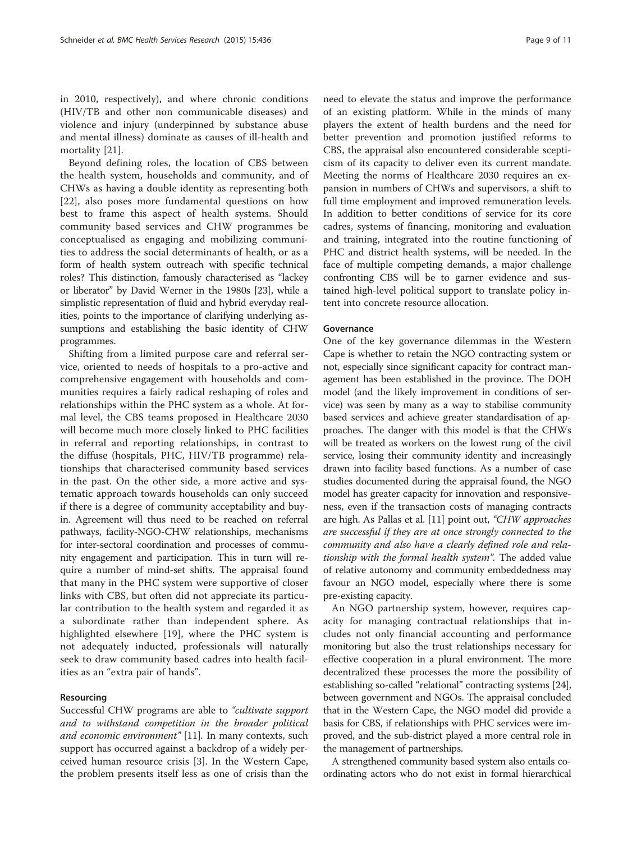in 2010, respectively), and where chronic conditions (HIV/TB and other non communicable diseases) and violence and injury (underpinned by substance abuse and mental illness) dominate as causes of ill-health and mortality [[21\]](#page-10-0).

Beyond defining roles, the location of CBS between the health system, households and community, and of CHWs as having a double identity as representing both [[22\]](#page-10-0), also poses more fundamental questions on how best to frame this aspect of health systems. Should community based services and CHW programmes be conceptualised as engaging and mobilizing communities to address the social determinants of health, or as a form of health system outreach with specific technical roles? This distinction, famously characterised as "lackey or liberator" by David Werner in the 1980s [[23](#page-10-0)], while a simplistic representation of fluid and hybrid everyday realities, points to the importance of clarifying underlying assumptions and establishing the basic identity of CHW programmes.

Shifting from a limited purpose care and referral service, oriented to needs of hospitals to a pro-active and comprehensive engagement with households and communities requires a fairly radical reshaping of roles and relationships within the PHC system as a whole. At formal level, the CBS teams proposed in Healthcare 2030 will become much more closely linked to PHC facilities in referral and reporting relationships, in contrast to the diffuse (hospitals, PHC, HIV/TB programme) relationships that characterised community based services in the past. On the other side, a more active and systematic approach towards households can only succeed if there is a degree of community acceptability and buyin. Agreement will thus need to be reached on referral pathways, facility-NGO-CHW relationships, mechanisms for inter-sectoral coordination and processes of community engagement and participation. This in turn will require a number of mind-set shifts. The appraisal found that many in the PHC system were supportive of closer links with CBS, but often did not appreciate its particular contribution to the health system and regarded it as a subordinate rather than independent sphere. As highlighted elsewhere [\[19](#page-10-0)], where the PHC system is not adequately inducted, professionals will naturally seek to draw community based cadres into health facilities as an "extra pair of hands".

### Resourcing

Successful CHW programs are able to "cultivate support and to withstand competition in the broader political and economic environment" [[11](#page-10-0)]. In many contexts, such support has occurred against a backdrop of a widely perceived human resource crisis [\[3](#page-9-0)]. In the Western Cape, the problem presents itself less as one of crisis than the

need to elevate the status and improve the performance of an existing platform. While in the minds of many players the extent of health burdens and the need for better prevention and promotion justified reforms to CBS, the appraisal also encountered considerable scepticism of its capacity to deliver even its current mandate. Meeting the norms of Healthcare 2030 requires an expansion in numbers of CHWs and supervisors, a shift to full time employment and improved remuneration levels. In addition to better conditions of service for its core cadres, systems of financing, monitoring and evaluation and training, integrated into the routine functioning of PHC and district health systems, will be needed. In the face of multiple competing demands, a major challenge confronting CBS will be to garner evidence and sustained high-level political support to translate policy intent into concrete resource allocation.

#### Governance

One of the key governance dilemmas in the Western Cape is whether to retain the NGO contracting system or not, especially since significant capacity for contract management has been established in the province. The DOH model (and the likely improvement in conditions of service) was seen by many as a way to stabilise community based services and achieve greater standardisation of approaches. The danger with this model is that the CHWs will be treated as workers on the lowest rung of the civil service, losing their community identity and increasingly drawn into facility based functions. As a number of case studies documented during the appraisal found, the NGO model has greater capacity for innovation and responsiveness, even if the transaction costs of managing contracts are high. As Pallas et al. [[11](#page-10-0)] point out, "CHW approaches are successful if they are at once strongly connected to the community and also have a clearly defined role and relationship with the formal health system". The added value of relative autonomy and community embeddedness may favour an NGO model, especially where there is some pre-existing capacity.

An NGO partnership system, however, requires capacity for managing contractual relationships that includes not only financial accounting and performance monitoring but also the trust relationships necessary for effective cooperation in a plural environment. The more decentralized these processes the more the possibility of establishing so-called "relational" contracting systems [[24](#page-10-0)], between government and NGOs. The appraisal concluded that in the Western Cape, the NGO model did provide a basis for CBS, if relationships with PHC services were improved, and the sub-district played a more central role in the management of partnerships.

A strengthened community based system also entails coordinating actors who do not exist in formal hierarchical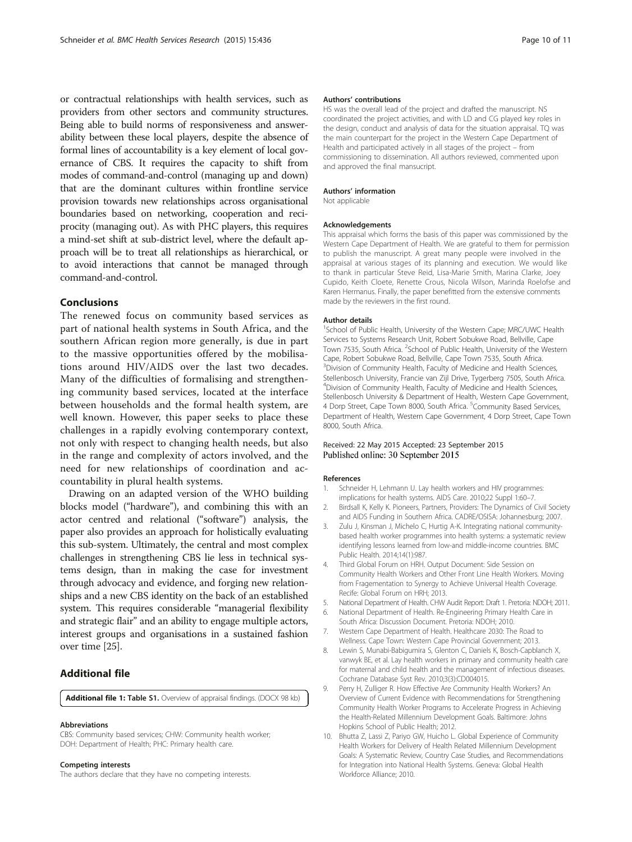<span id="page-9-0"></span>or contractual relationships with health services, such as providers from other sectors and community structures. Being able to build norms of responsiveness and answerability between these local players, despite the absence of formal lines of accountability is a key element of local governance of CBS. It requires the capacity to shift from modes of command-and-control (managing up and down) that are the dominant cultures within frontline service provision towards new relationships across organisational boundaries based on networking, cooperation and reciprocity (managing out). As with PHC players, this requires a mind-set shift at sub-district level, where the default approach will be to treat all relationships as hierarchical, or to avoid interactions that cannot be managed through command-and-control.

### Conclusions

The renewed focus on community based services as part of national health systems in South Africa, and the southern African region more generally, is due in part to the massive opportunities offered by the mobilisations around HIV/AIDS over the last two decades. Many of the difficulties of formalising and strengthening community based services, located at the interface between households and the formal health system, are well known. However, this paper seeks to place these challenges in a rapidly evolving contemporary context, not only with respect to changing health needs, but also in the range and complexity of actors involved, and the need for new relationships of coordination and accountability in plural health systems.

Drawing on an adapted version of the WHO building blocks model ("hardware"), and combining this with an actor centred and relational ("software") analysis, the paper also provides an approach for holistically evaluating this sub-system. Ultimately, the central and most complex challenges in strengthening CBS lie less in technical systems design, than in making the case for investment through advocacy and evidence, and forging new relationships and a new CBS identity on the back of an established system. This requires considerable "managerial flexibility and strategic flair" and an ability to engage multiple actors, interest groups and organisations in a sustained fashion over time [\[25\]](#page-10-0).

## Additional file

[Additional file 1:](http://www.biomedcentral.com/content/supplementary/s12913-015-1109-4-s1.docx) Table S1. Overview of appraisal findings. (DOCX 98 kb)

#### Abbreviations

CBS: Community based services; CHW: Community health worker; DOH: Department of Health; PHC: Primary health care.

#### Competing interests

The authors declare that they have no competing interests.

#### Authors' contributions

HS was the overall lead of the project and drafted the manuscript. NS coordinated the project activities, and with LD and CG played key roles in the design, conduct and analysis of data for the situation appraisal. TQ was the main counterpart for the project in the Western Cape Department of Health and participated actively in all stages of the project – from commissioning to dissemination. All authors reviewed, commented upon and approved the final mansucript.

#### Authors' information

Not applicable

#### Acknowledgements

This appraisal which forms the basis of this paper was commissioned by the Western Cape Department of Health. We are grateful to them for permission to publish the manuscript. A great many people were involved in the appraisal at various stages of its planning and execution. We would like to thank in particular Steve Reid, Lisa-Marie Smith, Marina Clarke, Joey Cupido, Keith Cloete, Renette Crous, Nicola Wilson, Marinda Roelofse and Karen Hermanus. Finally, the paper benefitted from the extensive comments made by the reviewers in the first round.

#### Author details

<sup>1</sup>School of Public Health, University of the Western Cape; MRC/UWC Health Services to Systems Research Unit, Robert Sobukwe Road, Bellville, Cape Town 7535, South Africa. <sup>2</sup>School of Public Health, University of the Western Cape, Robert Sobukwe Road, Bellville, Cape Town 7535, South Africa. <sup>3</sup> Division of Community Health, Faculty of Medicine and Health Sciences, Stellenbosch University, Francie van Zijl Drive, Tygerberg 7505, South Africa. 4 Division of Community Health, Faculty of Medicine and Health Sciences, Stellenbosch University & Department of Health, Western Cape Government, 4 Dorp Street, Cape Town 8000, South Africa. <sup>5</sup>Community Based Services Department of Health, Western Cape Government, 4 Dorp Street, Cape Town 8000, South Africa.

#### Received: 22 May 2015 Accepted: 23 September 2015 Published online: 30 September 2015

#### References

- Schneider H, Lehmann U. Lay health workers and HIV programmes: implications for health systems. AIDS Care. 2010;22 Suppl 1:60–7.
- 2. Birdsall K, Kelly K. Pioneers, Partners, Providers: The Dynamics of Civil Society and AIDS Funding in Southern Africa. CADRE/OSISA: Johannesburg; 2007.
- 3. Zulu J, Kinsman J, Michelo C, Hurtig A-K. Integrating national communitybased health worker programmes into health systems: a systematic review identifying lessons learned from low-and middle-income countries. BMC Public Health. 2014;14(1):987.
- 4. Third Global Forum on HRH. Output Document: Side Session on Community Health Workers and Other Front Line Health Workers. Moving from Fragementation to Synergy to Achieve Universal Health Coverage. Recife: Global Forum on HRH; 2013.
- 5. National Department of Health. CHW Audit Report: Draft 1. Pretoria: NDOH; 2011.
- 6. National Department of Health. Re-Engineering Primary Health Care in South Africa: Discussion Document. Pretoria: NDOH; 2010.
- 7. Western Cape Department of Health. Healthcare 2030: The Road to Wellness. Cape Town: Western Cape Provincial Government; 2013.
- 8. Lewin S, Munabi-Babigumira S, Glenton C, Daniels K, Bosch-Capblanch X, vanwyk BE, et al. Lay health workers in primary and community health care for maternal and child health and the management of infectious diseases. Cochrane Database Syst Rev. 2010;3(3):CD004015.
- 9. Perry H, Zulliger R. How Effective Are Community Health Workers? An Overview of Current Evidence with Recommendations for Strengthening Community Health Worker Programs to Accelerate Progress in Achieving the Health-Related Millennium Development Goals. Baltimore: Johns Hopkins School of Public Health; 2012.
- 10. Bhutta Z, Lassi Z, Pariyo GW, Huicho L. Global Experience of Community Health Workers for Delivery of Health Related Millennium Development Goals: A Systematic Review, Country Case Studies, and Recommendations for Integration into National Health Systems. Geneva: Global Health Workforce Alliance; 2010.